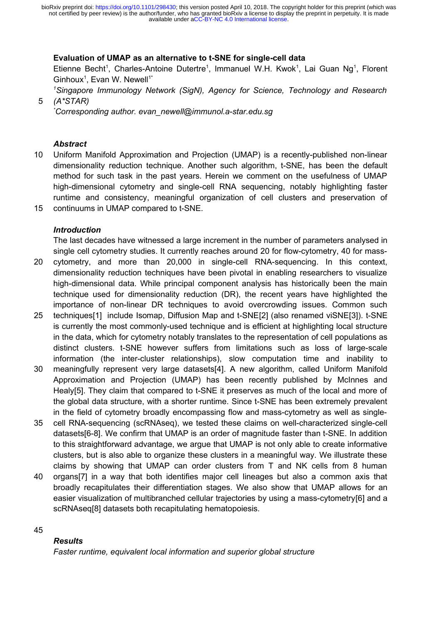### **Evaluation of UMAP as an alternative to t-SNE for single-cell data**

Etienne Becht<sup>1</sup>, Charles-Antoine Dutertre<sup>1</sup>, Immanuel W.H. Kwok<sup>1</sup>, Lai Guan Ng<sup>1</sup>, Florent Ginhoux<sup>1</sup>, Evan W. Newell<sup>1\*</sup>

*<sup>1</sup>Singapore Immunology Network (SigN), Agency for Science, Technology and Research (A\*STAR)*

*\*Corresponding author. evan\_newell@immunol.a-star.edu.sg*

#### *Abstract*

5

- Uniform Manifold Approximation and Projection (UMAP) is a recently-published non-linear dimensionality reduction technique. Another such algorithm, t-SNE, has been the default method for such task in the past years. Herein we comment on the usefulness of UMAP high-dimensional cytometry and single-cell RNA sequencing, notably highlighting faster runtime and consistency, meaningful organization of cell clusters and preservation of 10 15
- continuums in UMAP compared to t-SNE.

#### *Introduction*

The last decades have witnessed a large increment in the number of parameters analysed in single cell cytometry studies. It currently reaches around 20 for flow-cytometry, 40 for mass-

- cytometry, and more than 20,000 in single-cell RNA-sequencing. In this context, dimensionality reduction techniques have been pivotal in enabling researchers to visualize high-dimensional data. While principal component analysis has historically been the main technique used for dimensionality reduction (DR), the recent years have highlighted the importance of non-linear DR techniques to avoid overcrowding issues. Common such 20
- techniques[1] include Isomap, Diffusion Map and t-SNE[2] (also renamed viSNE[3]). t-SNE is currently the most commonly-used technique and is efficient at highlighting local structure in the data, which for cytometry notably translates to the representation of cell populations as distinct clusters. t-SNE however suffers from limitations such as loss of large-scale information (the inter-cluster relationships), slow computation time and inability to 25
- meaningfully represent very large datasets[4]. A new algorithm, called Uniform Manifold Approximation and Projection (UMAP) has been recently published by McInnes and Healy[5]. They claim that compared to t-SNE it preserves as much of the local and more of the global data structure, with a shorter runtime. Since t-SNE has been extremely prevalent in the field of cytometry broadly encompassing flow and mass-cytometry as well as single-30
- cell RNA-sequencing (scRNAseq), we tested these claims on well-characterized single-cell datasets[6-8]. We confirm that UMAP is an order of magnitude faster than t-SNE. In addition to this straightforward advantage, we argue that UMAP is not only able to create informative clusters, but is also able to organize these clusters in a meaningful way. We illustrate these claims by showing that UMAP can order clusters from T and NK cells from 8 human 35
- organs[7] in a way that both identifies major cell lineages but also a common axis that broadly recapitulates their differentiation stages. We also show that UMAP allows for an easier visualization of multibranched cellular trajectories by using a mass-cytometry[6] and a scRNAseq[8] datasets both recapitulating hematopoiesis. 40

#### 45

### *Results*

*Faster runtime, equivalent local information and superior global structure*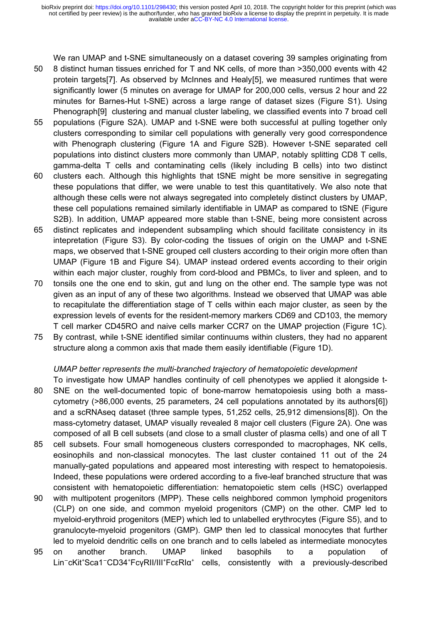We ran UMAP and t-SNE simultaneously on a dataset covering 39 samples originating from 8 distinct human tissues enriched for T and NK cells, of more than >350,000 events with 42 protein targets[7]. As observed by McInnes and Healy[5], we measured runtimes that were significantly lower (5 minutes on average for UMAP for 200,000 cells, versus 2 hour and 22 minutes for Barnes-Hut t-SNE) across a large range of dataset sizes (Figure S1). Using Phenograph[9] clustering and manual cluster labeling, we classified events into 7 broad cell 50

- populations (Figure S2A). UMAP and t-SNE were both successful at pulling together only clusters corresponding to similar cell populations with generally very good correspondence with Phenograph clustering (Figure 1A and Figure S2B). However t-SNE separated cell populations into distinct clusters more commonly than UMAP, notably splitting CD8 T cells, gamma-delta T cells and contaminating cells (likely including B cells) into two distinct 55
- clusters each. Although this highlights that tSNE might be more sensitive in segregating these populations that differ, we were unable to test this quantitatively. We also note that although these cells were not always segregated into completely distinct clusters by UMAP, these cell populations remained similarly identifiable in UMAP as compared to tSNE (Figure S2B). In addition, UMAP appeared more stable than t-SNE, being more consistent across 60
- distinct replicates and independent subsampling which should facilitate consistency in its intepretation (Figure S3). By color-coding the tissues of origin on the UMAP and t-SNE maps, we observed that t-SNE grouped cell clusters according to their origin more often than UMAP (Figure 1B and Figure S4). UMAP instead ordered events according to their origin within each major cluster, roughly from cord-blood and PBMCs, to liver and spleen, and to 65
- tonsils one the one end to skin, gut and lung on the other end. The sample type was not given as an input of any of these two algorithms. Instead we observed that UMAP was able to recapitulate the differentiation stage of T cells within each major cluster, as seen by the expression levels of events for the resident-memory markers CD69 and CD103, the memory T cell marker CD45RO and naive cells marker CCR7 on the UMAP projection (Figure 1C). 70
- By contrast, while t-SNE identified similar continuums within clusters, they had no apparent structure along a common axis that made them easily identifiable (Figure 1D). 75

## *UMAP better represents the multi-branched trajectory of hematopoietic development*

- To investigate how UMAP handles continuity of cell phenotypes we applied it alongside t-SNE on the well-documented topic of bone-marrow hematopoiesis using both a masscytometry (>86,000 events, 25 parameters, 24 cell populations annotated by its authors[6]) and a scRNAseq dataset (three sample types, 51,252 cells, 25,912 dimensions[8]). On the mass-cytometry dataset, UMAP visually revealed 8 major cell clusters (Figure 2A). One was composed of all B cell subsets (and close to a small cluster of plasma cells) and one of all T 80
- cell subsets. Four small homogeneous clusters corresponded to macrophages, NK cells, eosinophils and non-classical monocytes. The last cluster contained 11 out of the 24 manually-gated populations and appeared most interesting with respect to hematopoiesis. Indeed, these populations were ordered according to a five-leaf branched structure that was consistent with hematopoietic differentiation: hematopoietic stem cells (HSC) overlapped 85
- with multipotent progenitors (MPP). These cells neighbored common lymphoid progenitors (CLP) on one side, and common myeloid progenitors (CMP) on the other. CMP led to myeloid-erythroid progenitors (MEP) which led to unlabelled erythrocytes (Figure S5), and to granulocyte-myeloid progenitors (GMP). GMP then led to classical monocytes that further led to myeloid dendritic cells on one branch and to cells labeled as intermediate monocytes 90
- on another branch. UMAP linked basophils to a population of Lin<sup>−</sup>cKit<sup>+</sup>Sca1<sup>-</sup>CD34<sup>+</sup>FcγRII/III<sup>+</sup>FcεRIα<sup>+</sup> cells, consistently with a previously-described 95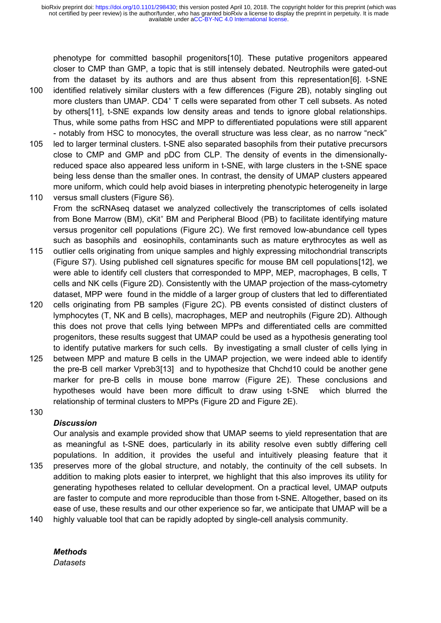phenotype for committed basophil progenitors[10]. These putative progenitors appeared closer to CMP than GMP, a topic that is still intensely debated. Neutrophils were gated-out from the dataset by its authors and are thus absent from this representation[6]. t-SNE

- identified relatively similar clusters with a few differences (Figure 2B), notably singling out more clusters than UMAP. CD4<sup>+</sup> T cells were separated from other T cell subsets. As noted by others[11], t-SNE expands low density areas and tends to ignore global relationships. Thus, while some paths from HSC and MPP to differentiated populations were still apparent - notably from HSC to monocytes, the overall structure was less clear, as no narrow "neck" 100
- led to larger terminal clusters. t-SNE also separated basophils from their putative precursors close to CMP and GMP and pDC from CLP. The density of events in the dimensionallyreduced space also appeared less uniform in t-SNE, with large clusters in the t-SNE space being less dense than the smaller ones. In contrast, the density of UMAP clusters appeared more uniform, which could help avoid biases in interpreting phenotypic heterogeneity in large 105
- versus small clusters (Figure S6). From the scRNAseq dataset we analyzed collectively the transcriptomes of cells isolated from Bone Marrow (BM), cKit<sup>+</sup> BM and Peripheral Blood (PB) to facilitate identifying mature versus progenitor cell populations (Figure 2C). We first removed low-abundance cell types such as basophils and eosinophils, contaminants such as mature erythrocytes as well as 110
- outlier cells originating from unique samples and highly expressing mitochondrial transcripts (Figure S7). Using published cell signatures specific for mouse BM cell populations[12], we were able to identify cell clusters that corresponded to MPP, MEP, macrophages, B cells, T cells and NK cells (Figure 2D). Consistently with the UMAP projection of the mass-cytometry dataset, MPP were found in the middle of a larger group of clusters that led to differentiated 115
- cells originating from PB samples (Figure 2C). PB events consisted of distinct clusters of lymphocytes (T, NK and B cells), macrophages, MEP and neutrophils (Figure 2D). Although this does not prove that cells lying between MPPs and differentiated cells are committed progenitors, these results suggest that UMAP could be used as a hypothesis generating tool to identify putative markers for such cells. By investigating a small cluster of cells lying in 120
- between MPP and mature B cells in the UMAP projection, we were indeed able to identify the pre-B cell marker Vpreb3[13] and to hypothesize that Chchd10 could be another gene marker for pre-B cells in mouse bone marrow (Figure 2E). These conclusions and hypotheses would have been more difficult to draw using t-SNE which blurred the relationship of terminal clusters to MPPs (Figure 2D and Figure 2E). 125

# *Discussion*

130

Our analysis and example provided show that UMAP seems to yield representation that are as meaningful as t-SNE does, particularly in its ability resolve even subtly differing cell populations. In addition, it provides the useful and intuitively pleasing feature that it preserves more of the global structure, and notably, the continuity of the cell subsets. In addition to making plots easier to interpret, we highlight that this also improves its utility for generating hypotheses related to cellular development. On a practical level, UMAP outputs are faster to compute and more reproducible than those from t-SNE. Altogether, based on its ease of use, these results and our other experience so far, we anticipate that UMAP will be a 135

highly valuable tool that can be rapidly adopted by single-cell analysis community. 140

*Methods Datasets*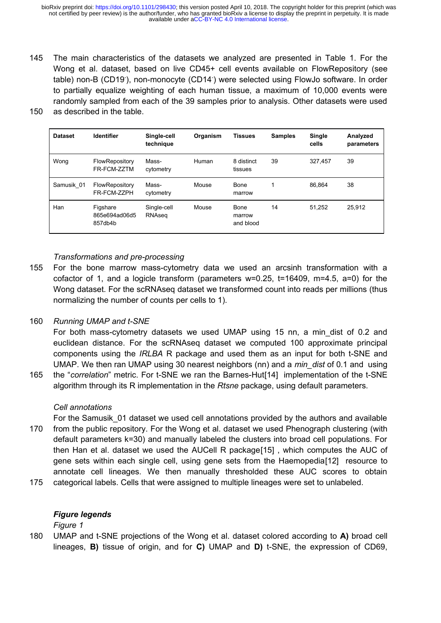available under [aCC-BY-NC 4.0 International license.](http://creativecommons.org/licenses/by-nc/4.0/) not certified by peer review) is the author/funder, who has granted bioRxiv a license to display the preprint in perpetuity. It is made bioRxiv preprint doi: [https://doi.org/10.1101/298430;](https://doi.org/10.1101/298430) this version posted April 10, 2018. The copyright holder for this preprint (which was

The main characteristics of the datasets we analyzed are presented in Table 1. For the Wong et al. dataset, based on live CD45+ cell events available on FlowRepository (see table) non-B (CD19<sup>-</sup>), non-monocyte (CD14<sup>-</sup>) were selected using FlowJo software. In order to partially equalize weighting of each human tissue, a maximum of 10,000 events were randomly sampled from each of the 39 samples prior to analysis. Other datasets were used 145

| <b>Dataset</b> | <b>Identifier</b>                    | Single-cell<br>technique | Organism | <b>Tissues</b>              | <b>Samples</b> | Single<br>cells | Analyzed<br>parameters |
|----------------|--------------------------------------|--------------------------|----------|-----------------------------|----------------|-----------------|------------------------|
| Wong           | FlowRepository<br>FR-FCM-ZZTM        | Mass-<br>cytometry       | Human    | 8 distinct<br>tissues       | 39             | 327,457         | 39                     |
| Samusik 01     | FlowRepository<br>FR-FCM-ZZPH        | Mass-<br>cytometry       | Mouse    | Bone<br>marrow              | 1              | 86.864          | 38                     |
| Han            | Figshare<br>865e694ad06d5<br>857db4b | Single-cell<br>RNAseg    | Mouse    | Bone<br>marrow<br>and blood | 14             | 51,252          | 25,912                 |

### *Transformations and pre-processing*

For the bone marrow mass-cytometry data we used an arcsinh transformation with a cofactor of 1, and a logicle transform (parameters  $w=0.25$ ,  $t=16409$ ,  $m=4.5$ ,  $a=0$ ) for the Wong dataset. For the scRNAseq dataset we transformed count into reads per millions (thus normalizing the number of counts per cells to 1). 155

#### *Running UMAP and t-SNE* 160

For both mass-cytometry datasets we used UMAP using 15 nn, a min\_dist of 0.2 and euclidean distance. For the scRNAseq dataset we computed 100 approximate principal components using the *IRLBA* R package and used them as an input for both t-SNE and UMAP. We then ran UMAP using 30 nearest neighbors (nn) and a *min\_dist* of 0.1 and using

the "*correlation*" metric. For t-SNE we ran the Barnes-Hut[14] implementation of the t-SNE algorithm through its R implementation in the *Rtsne* package, using default parameters. 165

#### *Cell annotations*

For the Samusik 01 dataset we used cell annotations provided by the authors and available from the public repository. For the Wong et al. dataset we used Phenograph clustering (with default parameters k=30) and manually labeled the clusters into broad cell populations. For then Han et al. dataset we used the AUCell R package[15] , which computes the AUC of gene sets within each single cell, using gene sets from the Haemopedia[12] resource to annotate cell lineages. We then manually thresholded these AUC scores to obtain 170

categorical labels. Cells that were assigned to multiple lineages were set to unlabeled. 175

#### *Figure legends*

*Figure 1*

UMAP and t-SNE projections of the Wong et al. dataset colored according to **A)** broad cell lineages, **B)** tissue of origin, and for **C)** UMAP and **D)** t-SNE, the expression of CD69, 180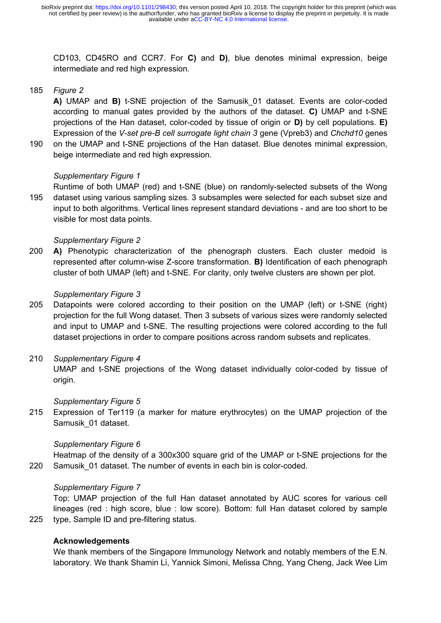available under [aCC-BY-NC 4.0 International license.](http://creativecommons.org/licenses/by-nc/4.0/) not certified by peer review) is the author/funder, who has granted bioRxiv a license to display the preprint in perpetuity. It is made bioRxiv preprint doi: [https://doi.org/10.1101/298430;](https://doi.org/10.1101/298430) this version posted April 10, 2018. The copyright holder for this preprint (which was

CD103, CD45RO and CCR7. For **C)** and **D)**, blue denotes minimal expression, beige intermediate and red high expression.

#### *Figure 2* 185

**A)** UMAP and **B)** t-SNE projection of the Samusik\_01 dataset. Events are color-coded according to manual gates provided by the authors of the dataset. **C)** UMAP and t-SNE projections of the Han dataset, color-coded by tissue of origin or **D)** by cell populations. **E)** Expression of the *V-set pre-B cell surrogate light chain 3* gene (Vpreb3) and *Chchd10* genes

on the UMAP and t-SNE projections of the Han dataset. Blue denotes minimal expression, beige intermediate and red high expression. 190

#### *Supplementary Figure 1*

Runtime of both UMAP (red) and t-SNE (blue) on randomly-selected subsets of the Wong dataset using various sampling sizes. 3 subsamples were selected for each subset size and input to both algorithms. Vertical lines represent standard deviations - and are too short to be visible for most data points. 195

#### *Supplementary Figure 2*

**A)** Phenotypic characterization of the phenograph clusters. Each cluster medoid is represented after column-wise Z-score transformation. **B)** Identification of each phenograph cluster of both UMAP (left) and t-SNE. For clarity, only twelve clusters are shown per plot. 200

#### *Supplementary Figure 3*

- Datapoints were colored according to their position on the UMAP (left) or t-SNE (right) projection for the full Wong dataset. Then 3 subsets of various sizes were randomly selected and input to UMAP and t-SNE. The resulting projections were colored according to the full dataset projections in order to compare positions across random subsets and replicates. 205
- *Supplementary Figure 4* 210

UMAP and t-SNE projections of the Wong dataset individually color-coded by tissue of origin.

#### *Supplementary Figure 5*

Expression of Ter119 (a marker for mature erythrocytes) on the UMAP projection of the Samusik\_01 dataset. 215

#### *Supplementary Figure 6*

Heatmap of the density of a 300x300 square grid of the UMAP or t-SNE projections for the Samusik 01 dataset. The number of events in each bin is color-coded. 220

#### *Supplementary Figure 7*

Top: UMAP projection of the full Han dataset annotated by AUC scores for various cell lineages (red : high score, blue : low score). Bottom: full Han dataset colored by sample type, Sample ID and pre-filtering status. 225

### **Acknowledgements**

We thank members of the Singapore Immunology Network and notably members of the E.N. laboratory. We thank Shamin Li, Yannick Simoni, Melissa Chng, Yang Cheng, Jack Wee Lim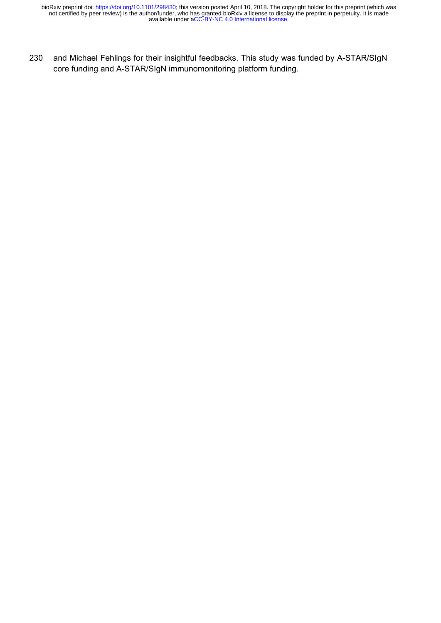available under [aCC-BY-NC 4.0 International license.](http://creativecommons.org/licenses/by-nc/4.0/) not certified by peer review) is the author/funder, who has granted bioRxiv a license to display the preprint in perpetuity. It is made bioRxiv preprint doi: [https://doi.org/10.1101/298430;](https://doi.org/10.1101/298430) this version posted April 10, 2018. The copyright holder for this preprint (which was

and Michael Fehlings for their insightful feedbacks. This study was funded by A-STAR/SIgN core funding and A-STAR/SIgN immunomonitoring platform funding. 230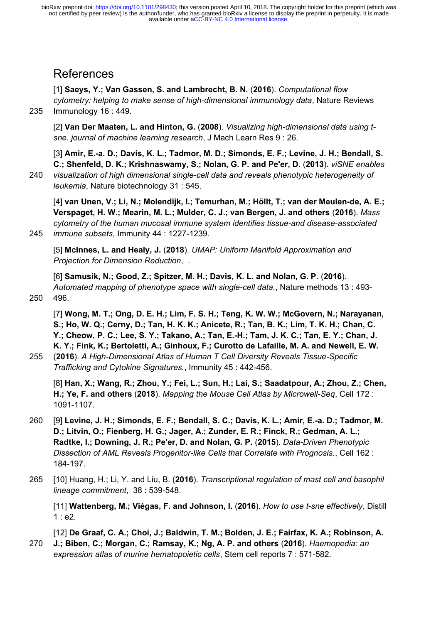available under [aCC-BY-NC 4.0 International license.](http://creativecommons.org/licenses/by-nc/4.0/) not certified by peer review) is the author/funder, who has granted bioRxiv a license to display the preprint in perpetuity. It is made bioRxiv preprint doi: [https://doi.org/10.1101/298430;](https://doi.org/10.1101/298430) this version posted April 10, 2018. The copyright holder for this preprint (which was

# References

235

245

250

[1] **Saeys, Y.; Van Gassen, S. and Lambrecht, B. N.** (**2016**). *Computational flow cytometry: helping to make sense of high-dimensional immunology data*, Nature Reviews Immunology 16 : 449.

[2] **Van Der Maaten, L. and Hinton, G.** (**2008**). *Visualizing high-dimensional data using tsne. journal of machine learning research*, J Mach Learn Res 9 : 26.

[3] **Amir, E.-a. D.; Davis, K. L.; Tadmor, M. D.; Simonds, E. F.; Levine, J. H.; Bendall, S. C.; Shenfeld, D. K.; Krishnaswamy, S.; Nolan, G. P. and Pe'er, D.** (**2013**). *viSNE enables visualization of high dimensional single-cell data and reveals phenotypic heterogeneity of* 

*leukemia*, Nature biotechnology 31 : 545. 240

[4] **van Unen, V.; Li, N.; Molendijk, I.; Temurhan, M.; Höllt, T.; van der Meulen-de, A. E.; Verspaget, H. W.; Mearin, M. L.; Mulder, C. J.; van Bergen, J. and others** (**2016**). *Mass cytometry of the human mucosal immune system identifies tissue-and disease-associated immune subsets*, Immunity 44 : 1227-1239.

[5] **McInnes, L. and Healy, J.** (**2018**). *UMAP: Uniform Manifold Approximation and Projection for Dimension Reduction*, .

[6] **Samusik, N.; Good, Z.; Spitzer, M. H.; Davis, K. L. and Nolan, G. P.** (**2016**). *Automated mapping of phenotype space with single-cell data.*, Nature methods 13 : 493- 496.

[7] **Wong, M. T.; Ong, D. E. H.; Lim, F. S. H.; Teng, K. W. W.; McGovern, N.; Narayanan, S.; Ho, W. Q.; Cerny, D.; Tan, H. K. K.; Anicete, R.; Tan, B. K.; Lim, T. K. H.; Chan, C. Y.; Cheow, P. C.; Lee, S. Y.; Takano, A.; Tan, E.-H.; Tam, J. K. C.; Tan, E. Y.; Chan, J. K. Y.; Fink, K.; Bertoletti, A.; Ginhoux, F.; Curotto de Lafaille, M. A. and Newell, E. W.**

(**2016**). *A High-Dimensional Atlas of Human T Cell Diversity Reveals Tissue-Specific Trafficking and Cytokine Signatures.*, Immunity 45 : 442-456. 255

[8] **Han, X.; Wang, R.; Zhou, Y.; Fei, L.; Sun, H.; Lai, S.; Saadatpour, A.; Zhou, Z.; Chen, H.; Ye, F. and others** (**2018**). *Mapping the Mouse Cell Atlas by Microwell-Seq*, Cell 172 : 1091-1107.

- [9] **Levine, J. H.; Simonds, E. F.; Bendall, S. C.; Davis, K. L.; Amir, E.-a. D.; Tadmor, M. D.; Litvin, O.; Fienberg, H. G.; Jager, A.; Zunder, E. R.; Finck, R.; Gedman, A. L.; Radtke, I.; Downing, J. R.; Pe'er, D. and Nolan, G. P.** (**2015**). *Data-Driven Phenotypic Dissection of AML Reveals Progenitor-like Cells that Correlate with Prognosis.*, Cell 162 : 184-197. 260
- [10] Huang, H.; Li, Y. and Liu, B. (**2016**). *Transcriptional regulation of mast cell and basophil lineage commitment*, 38 : 539-548. 265

[11] **Wattenberg, M.; Viégas, F. and Johnson, I.** (**2016**). *How to use t-sne effectively*, Distill  $1 : e2.$ 

[12] **De Graaf, C. A.; Choi, J.; Baldwin, T. M.; Bolden, J. E.; Fairfax, K. A.; Robinson, A.** 

**J.; Biben, C.; Morgan, C.; Ramsay, K.; Ng, A. P. and others** (**2016**). *Haemopedia: an expression atlas of murine hematopoietic cells*, Stem cell reports 7 : 571-582. 270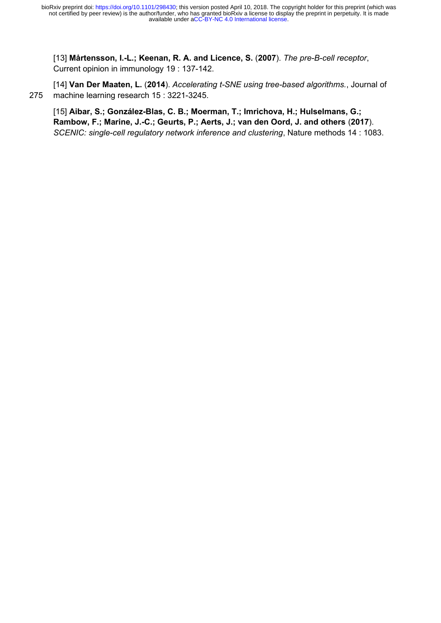[13] **Mårtensson, I.-L.; Keenan, R. A. and Licence, S.** (**2007**). *The pre-B-cell receptor*, Current opinion in immunology 19 : 137-142.

[14] **Van Der Maaten, L.** (**2014**). *Accelerating t-SNE using tree-based algorithms.*, Journal of machine learning research 15 : 3221-3245. 275

[15] **Aibar, S.; González-Blas, C. B.; Moerman, T.; Imrichova, H.; Hulselmans, G.; Rambow, F.; Marine, J.-C.; Geurts, P.; Aerts, J.; van den Oord, J. and others** (**2017**). *SCENIC: single-cell regulatory network inference and clustering*, Nature methods 14 : 1083.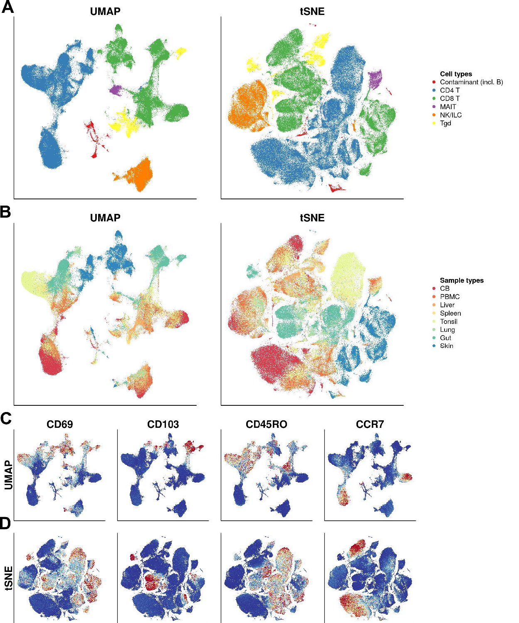



# Cell types<br>• Contaminant (incl. B)<br>• CD4 T<br>• CD8 T - MAIT<br>- NK/ILC<br>- Tgd

В **UMAP** 



#### Sample types<br>• CB

- $\bullet$  PBMC
- Liver
- Spleen
- $-$  Tonsil
- $\cdot$  Lung
- $\cdot$  Gut<br> $\cdot$  Skin
-